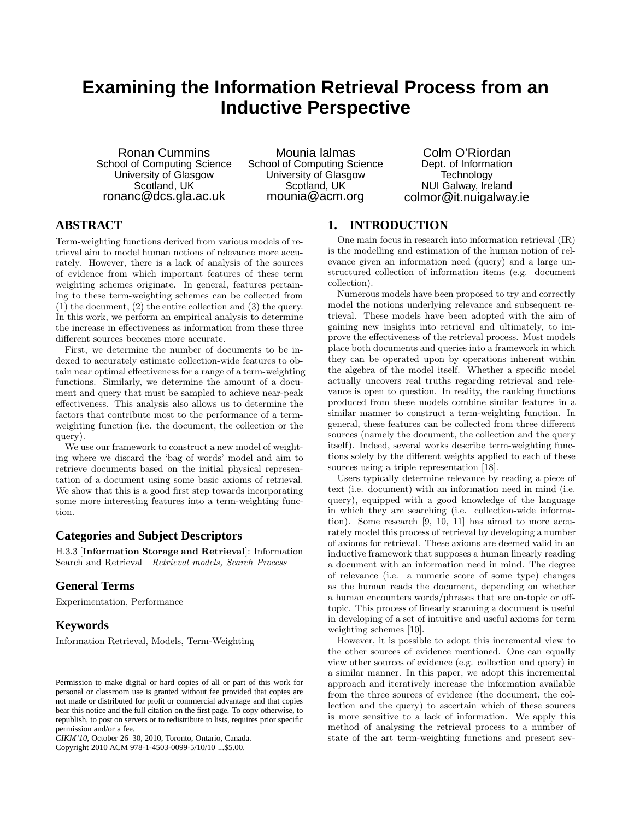# **Examining the Information Retrieval Process from an Inductive Perspective**

Ronan Cummins School of Computing Science University of Glasgow Scotland, UK ronanc@dcs.gla.ac.uk

Mounia lalmas School of Computing Science University of Glasgow Scotland, UK mounia@acm.org

Colm O'Riordan Dept. of Information **Technology** NUI Galway, Ireland colmor@it.nuigalway.ie

# **ABSTRACT**

Term-weighting functions derived from various models of retrieval aim to model human notions of relevance more accurately. However, there is a lack of analysis of the sources of evidence from which important features of these term weighting schemes originate. In general, features pertaining to these term-weighting schemes can be collected from (1) the document, (2) the entire collection and (3) the query. In this work, we perform an empirical analysis to determine the increase in effectiveness as information from these three different sources becomes more accurate.

First, we determine the number of documents to be indexed to accurately estimate collection-wide features to obtain near optimal effectiveness for a range of a term-weighting functions. Similarly, we determine the amount of a document and query that must be sampled to achieve near-peak effectiveness. This analysis also allows us to determine the factors that contribute most to the performance of a termweighting function (i.e. the document, the collection or the query).

We use our framework to construct a new model of weighting where we discard the 'bag of words' model and aim to retrieve documents based on the initial physical representation of a document using some basic axioms of retrieval. We show that this is a good first step towards incorporating some more interesting features into a term-weighting function.

## **Categories and Subject Descriptors**

H.3.3 [Information Storage and Retrieval]: Information Search and Retrieval—Retrieval models, Search Process

## **General Terms**

Experimentation, Performance

## **Keywords**

Information Retrieval, Models, Term-Weighting

*CIKM'10,* October 26–30, 2010, Toronto, Ontario, Canada.

Copyright 2010 ACM 978-1-4503-0099-5/10/10 ...\$5.00.

## **1. INTRODUCTION**

One main focus in research into information retrieval (IR) is the modelling and estimation of the human notion of relevance given an information need (query) and a large unstructured collection of information items (e.g. document collection).

Numerous models have been proposed to try and correctly model the notions underlying relevance and subsequent retrieval. These models have been adopted with the aim of gaining new insights into retrieval and ultimately, to improve the effectiveness of the retrieval process. Most models place both documents and queries into a framework in which they can be operated upon by operations inherent within the algebra of the model itself. Whether a specific model actually uncovers real truths regarding retrieval and relevance is open to question. In reality, the ranking functions produced from these models combine similar features in a similar manner to construct a term-weighting function. In general, these features can be collected from three different sources (namely the document, the collection and the query itself). Indeed, several works describe term-weighting functions solely by the different weights applied to each of these sources using a triple representation [18].

Users typically determine relevance by reading a piece of text (i.e. document) with an information need in mind (i.e. query), equipped with a good knowledge of the language in which they are searching (i.e. collection-wide information). Some research [9, 10, 11] has aimed to more accurately model this process of retrieval by developing a number of axioms for retrieval. These axioms are deemed valid in an inductive framework that supposes a human linearly reading a document with an information need in mind. The degree of relevance (i.e. a numeric score of some type) changes as the human reads the document, depending on whether a human encounters words/phrases that are on-topic or offtopic. This process of linearly scanning a document is useful in developing of a set of intuitive and useful axioms for term weighting schemes [10].

However, it is possible to adopt this incremental view to the other sources of evidence mentioned. One can equally view other sources of evidence (e.g. collection and query) in a similar manner. In this paper, we adopt this incremental approach and iteratively increase the information available from the three sources of evidence (the document, the collection and the query) to ascertain which of these sources is more sensitive to a lack of information. We apply this method of analysing the retrieval process to a number of state of the art term-weighting functions and present sev-

Permission to make digital or hard copies of all or part of this work for personal or classroom use is granted without fee provided that copies are not made or distributed for profit or commercial advantage and that copies bear this notice and the full citation on the first page. To copy otherwise, to republish, to post on servers or to redistribute to lists, requires prior specific permission and/or a fee.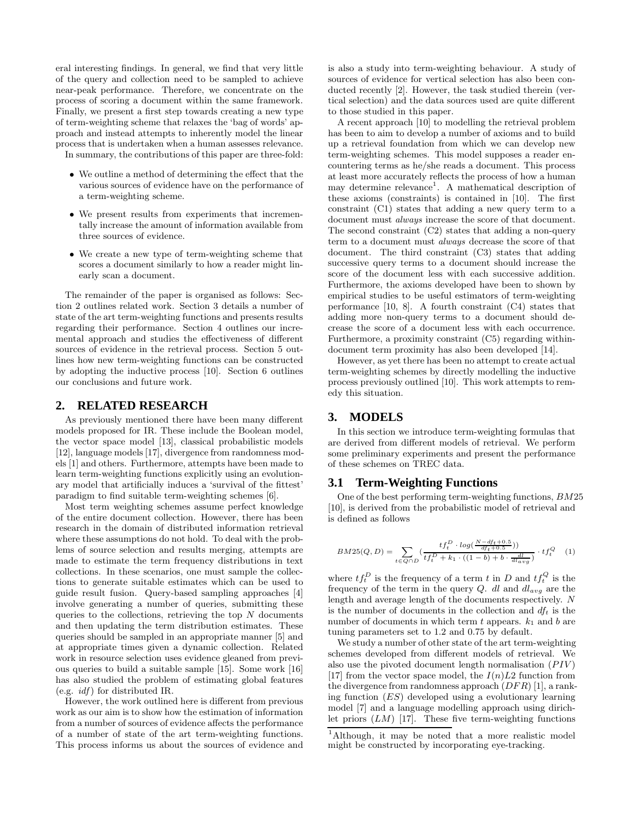eral interesting findings. In general, we find that very little of the query and collection need to be sampled to achieve near-peak performance. Therefore, we concentrate on the process of scoring a document within the same framework. Finally, we present a first step towards creating a new type of term-weighting scheme that relaxes the 'bag of words' approach and instead attempts to inherently model the linear process that is undertaken when a human assesses relevance. In summary, the contributions of this paper are three-fold:

- We outline a method of determining the effect that the various sources of evidence have on the performance of a term-weighting scheme.
- We present results from experiments that incrementally increase the amount of information available from three sources of evidence.
- We create a new type of term-weighting scheme that scores a document similarly to how a reader might linearly scan a document.

The remainder of the paper is organised as follows: Section 2 outlines related work. Section 3 details a number of state of the art term-weighting functions and presents results regarding their performance. Section 4 outlines our incremental approach and studies the effectiveness of different sources of evidence in the retrieval process. Section 5 outlines how new term-weighting functions can be constructed by adopting the inductive process [10]. Section 6 outlines our conclusions and future work.

## **2. RELATED RESEARCH**

As previously mentioned there have been many different models proposed for IR. These include the Boolean model, the vector space model [13], classical probabilistic models [12], language models [17], divergence from randomness models [1] and others. Furthermore, attempts have been made to learn term-weighting functions explicitly using an evolutionary model that artificially induces a 'survival of the fittest' paradigm to find suitable term-weighting schemes [6].

Most term weighting schemes assume perfect knowledge of the entire document collection. However, there has been research in the domain of distributed information retrieval where these assumptions do not hold. To deal with the problems of source selection and results merging, attempts are made to estimate the term frequency distributions in text collections. In these scenarios, one must sample the collections to generate suitable estimates which can be used to guide result fusion. Query-based sampling approaches [4] involve generating a number of queries, submitting these queries to the collections, retrieving the top  $N$  documents and then updating the term distribution estimates. These queries should be sampled in an appropriate manner [5] and at appropriate times given a dynamic collection. Related work in resource selection uses evidence gleaned from previous queries to build a suitable sample [15]. Some work [16] has also studied the problem of estimating global features (e.g.  $\mathit{idf}$ ) for distributed IR.

However, the work outlined here is different from previous work as our aim is to show how the estimation of information from a number of sources of evidence affects the performance of a number of state of the art term-weighting functions. This process informs us about the sources of evidence and

is also a study into term-weighting behaviour. A study of sources of evidence for vertical selection has also been conducted recently [2]. However, the task studied therein (vertical selection) and the data sources used are quite different to those studied in this paper.

A recent approach [10] to modelling the retrieval problem has been to aim to develop a number of axioms and to build up a retrieval foundation from which we can develop new term-weighting schemes. This model supposes a reader encountering terms as he/she reads a document. This process at least more accurately reflects the process of how a human may determine relevance<sup>1</sup>. A mathematical description of these axioms (constraints) is contained in [10]. The first constraint (C1) states that adding a new query term to a document must always increase the score of that document. The second constraint (C2) states that adding a non-query term to a document must always decrease the score of that document. The third constraint (C3) states that adding successive query terms to a document should increase the score of the document less with each successive addition. Furthermore, the axioms developed have been to shown by empirical studies to be useful estimators of term-weighting performance [10, 8]. A fourth constraint (C4) states that adding more non-query terms to a document should decrease the score of a document less with each occurrence. Furthermore, a proximity constraint (C5) regarding withindocument term proximity has also been developed [14].

However, as yet there has been no attempt to create actual term-weighting schemes by directly modelling the inductive process previously outlined [10]. This work attempts to remedy this situation.

## **3. MODELS**

In this section we introduce term-weighting formulas that are derived from different models of retrieval. We perform some preliminary experiments and present the performance of these schemes on TREC data.

## **3.1 Term-Weighting Functions**

One of the best performing term-weighting functions,  $BM25$ [10], is derived from the probabilistic model of retrieval and is defined as follows

$$
BM25(Q, D) = \sum_{t \in Q \cap D} \left( \frac{tf_t^D \cdot \log(\frac{N - df_t + 0.5}{df_t + 0.5}) \right)}{tf_t^D + k_1 \cdot ((1 - b) + b \cdot \frac{dl}{dl_{avg}})} \cdot tf_t^Q \quad (1)
$$

where  $tf_t^D$  is the frequency of a term t in D and  $tf_t^Q$  is the frequency of the term in the query Q. dl and  $dl_{avg}$  are the length and average length of the documents respectively. N is the number of documents in the collection and  $df_t$  is the number of documents in which term  $t$  appears.  $k_1$  and  $b$  are tuning parameters set to 1.2 and 0.75 by default.

We study a number of other state of the art term-weighting schemes developed from different models of retrieval. We also use the pivoted document length normalisation  $(PIV)$ [17] from the vector space model, the  $I(n)L2$  function from the divergence from randomness approach  $(DFR)$  [1], a ranking function (ES) developed using a evolutionary learning model [7] and a language modelling approach using dirichlet priors  $(LM)$  [17]. These five term-weighting functions

<sup>1</sup>Although, it may be noted that a more realistic model might be constructed by incorporating eye-tracking.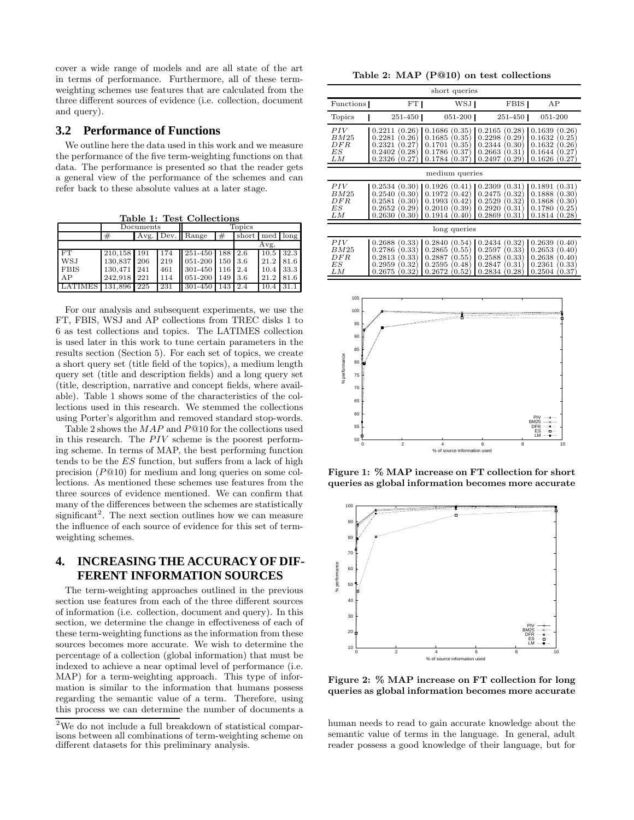cover a wide range of models and are all state of the art in terms of performance. Furthermore, all of these termweighting schemes use features that are calculated from the three different sources of evidence (i.e. collection, document and query).

## **3.2 Performance of Functions**

We outline here the data used in this work and we measure the performance of the five term-weighting functions on that data. The performance is presented so that the reader gets a general view of the performance of the schemes and can refer back to these absolute values at a later stage.

Table 1: Test Collections

|             | Documents   |     |     | Topics                |   |       |      |          |
|-------------|-------------|-----|-----|-----------------------|---|-------|------|----------|
|             | #           |     |     | Avg. Dev. Range       | # | short |      | med long |
|             |             |     |     |                       |   | Avg.  |      |          |
| <b>FT</b>   | 210,158 191 |     | 174 | 251-450 188 2.6       |   |       | 10.5 | 32.3     |
| <b>WSJ</b>  | 130,837     | 206 | 219 | $051-200$   150   3.6 |   |       | 21.2 | 81.6     |
| <b>FBIS</b> | 130.471     | 241 | 461 | $301-450$   116   2.4 |   |       | 10.4 | 33.3     |
| AP          | 242.918 221 |     | 114 | $051-200$   149   3.6 |   |       | 21.2 | 81.6     |
|             | 131,896     | 225 | 231 | $ 301-450 143 2.4$    |   |       | 10.4 |          |

For our analysis and subsequent experiments, we use the FT, FBIS, WSJ and AP collections from TREC disks 1 to 6 as test collections and topics. The LATIMES collection is used later in this work to tune certain parameters in the results section (Section 5). For each set of topics, we create a short query set (title field of the topics), a medium length query set (title and description fields) and a long query set (title, description, narrative and concept fields, where available). Table 1 shows some of the characteristics of the collections used in this research. We stemmed the collections using Porter's algorithm and removed standard stop-words.

Table 2 shows the MAP and P@10 for the collections used in this research. The  $PIV$  scheme is the poorest performing scheme. In terms of MAP, the best performing function tends to be the ES function, but suffers from a lack of high precision (P@10) for medium and long queries on some collections. As mentioned these schemes use features from the three sources of evidence mentioned. We can confirm that many of the differences between the schemes are statistically significant<sup>2</sup>. The next section outlines how we can measure the influence of each source of evidence for this set of termweighting schemes.

## **4. INCREASING THE ACCURACY OF DIF-FERENT INFORMATION SOURCES**

The term-weighting approaches outlined in the previous section use features from each of the three different sources of information (i.e. collection, document and query). In this section, we determine the change in effectiveness of each of these term-weighting functions as the information from these sources becomes more accurate. We wish to determine the percentage of a collection (global information) that must be indexed to achieve a near optimal level of performance (i.e. MAP) for a term-weighting approach. This type of information is similar to the information that humans possess regarding the semantic value of a term. Therefore, using this process we can determine the number of documents a

Table 2: MAP (P@10) on test collections

| short queries                  |                                                                                                |                                                                                                     |                                                                                                              |                                                                                                                |  |  |  |  |
|--------------------------------|------------------------------------------------------------------------------------------------|-----------------------------------------------------------------------------------------------------|--------------------------------------------------------------------------------------------------------------|----------------------------------------------------------------------------------------------------------------|--|--|--|--|
| Functions                      | FT <sub>1</sub>                                                                                | WSJ I                                                                                               | FBIS I                                                                                                       | AP                                                                                                             |  |  |  |  |
| Topics                         | 251-450                                                                                        | 051-200                                                                                             | 251-450                                                                                                      | 051-200                                                                                                        |  |  |  |  |
| PIV<br>BM25<br>DFR<br>ES<br>LМ | 0.2211<br>(0.26)<br>0.2281<br>(0.26)<br>0.2321<br>(0.27)<br>0.2402<br>(0.28)<br>0.2326<br>0.27 | 0.1686<br>(0.35)<br>(0.35)<br>0.1685<br>0.1701<br>(0.35)<br>0.1786<br>(0.37)<br>$_{0.37}$<br>0.1784 | 0.2165<br>(0.28)<br>(0.29)<br>0.2298<br>0.2344<br>(0.30)<br>0.2663<br>0.31<br>0.2497<br>0.29                 | 0.1639<br>(0.26)<br>0.1632<br>(0.25)<br>0.1632<br>0.26<br>0.1644<br>(0.27)<br>0.1626<br>(0.27)                 |  |  |  |  |
| medium queries                 |                                                                                                |                                                                                                     |                                                                                                              |                                                                                                                |  |  |  |  |
| PIV<br>BM25<br>DFR<br>ΕS<br>LМ | (0.30)<br>0.2534<br>0.2540<br>(0.30)<br>0.2581<br>(0.30)<br>0.2652<br>(0.29)<br>0.2630<br>0.30 | 0.1926<br>(0.41)<br>0.1972<br>(0.42)<br>0.1993<br>(0.42)<br>(0.39)<br>0.2010<br>0.1914<br>0.40      | (0.31)<br>0.2309<br>(0.32)<br>0.2475<br>0.32<br>0.2529<br>0.2920<br>0.31<br>0.2869<br>0.31                   | (0.31)<br>0.1891<br>0.1888<br>(0.30)<br>0.1868<br>$\left( 0.30\right)$<br>0.1780<br>(0.25)<br>0.1814<br>(0.28) |  |  |  |  |
| long queries                   |                                                                                                |                                                                                                     |                                                                                                              |                                                                                                                |  |  |  |  |
| PIV<br>BM25<br>DFR<br>ΕS<br>LΜ | (0.33)<br>0.2688<br>0.2786<br>(0.33)<br>(0.33)<br>0.2813<br>0.2959<br>(0.32)<br>0.2675<br>0.32 | (0.54)<br>0.2840<br>(0.55)<br>0.2865<br>0.2887<br>(0.55)<br>0.2595<br>0.48<br>0.2672<br>0.52        | (0.32)<br>0.2434<br>(0.33)<br>0.2597<br>$\langle 0.33 \rangle$<br>0.2588<br>0.31<br>0.2847<br>0.2834<br>0.28 | 0.2639<br>(0.40)<br>0.2653<br>(0.40)<br>0.2638<br>(0.40)<br>0.2361<br>(0.33)<br>0.2504<br>(0.37)               |  |  |  |  |



Figure 1: % MAP increase on FT collection for short queries as global information becomes more accurate



Figure 2: % MAP increase on FT collection for long queries as global information becomes more accurate

human needs to read to gain accurate knowledge about the semantic value of terms in the language. In general, adult reader possess a good knowledge of their language, but for

 $2$ We do not include a full breakdown of statistical comparisons between all combinations of term-weighting scheme on different datasets for this preliminary analysis.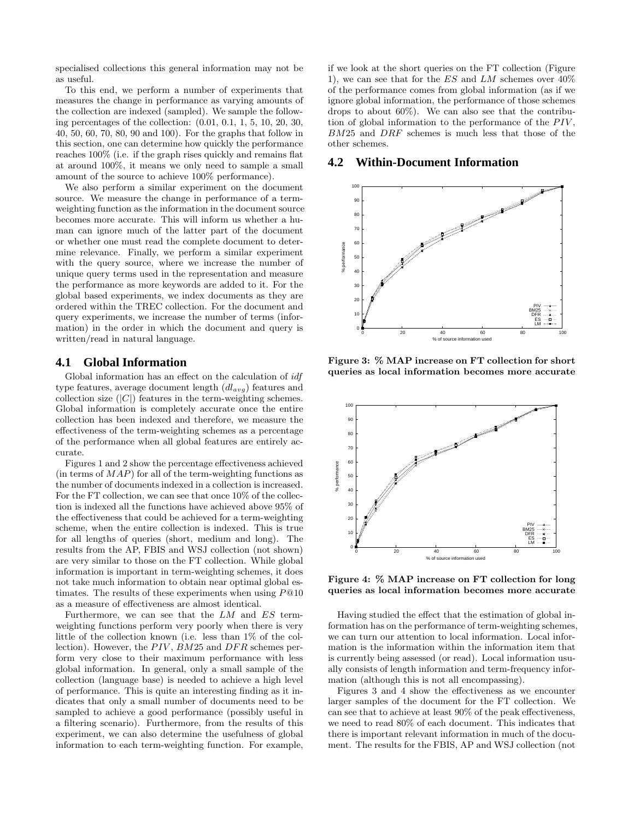specialised collections this general information may not be as useful.

To this end, we perform a number of experiments that measures the change in performance as varying amounts of the collection are indexed (sampled). We sample the following percentages of the collection: (0.01, 0.1, 1, 5, 10, 20, 30, 40, 50, 60, 70, 80, 90 and 100). For the graphs that follow in this section, one can determine how quickly the performance reaches 100% (i.e. if the graph rises quickly and remains flat at around 100%, it means we only need to sample a small amount of the source to achieve 100% performance).

We also perform a similar experiment on the document source. We measure the change in performance of a termweighting function as the information in the document source becomes more accurate. This will inform us whether a human can ignore much of the latter part of the document or whether one must read the complete document to determine relevance. Finally, we perform a similar experiment with the query source, where we increase the number of unique query terms used in the representation and measure the performance as more keywords are added to it. For the global based experiments, we index documents as they are ordered within the TREC collection. For the document and query experiments, we increase the number of terms (information) in the order in which the document and query is written/read in natural language.

#### **4.1 Global Information**

Global information has an effect on the calculation of idf type features, average document length  $(d_{avg})$  features and collection size  $(|C|)$  features in the term-weighting schemes. Global information is completely accurate once the entire collection has been indexed and therefore, we measure the effectiveness of the term-weighting schemes as a percentage of the performance when all global features are entirely accurate.

Figures 1 and 2 show the percentage effectiveness achieved (in terms of  $MAP$ ) for all of the term-weighting functions as the number of documents indexed in a collection is increased. For the FT collection, we can see that once 10% of the collection is indexed all the functions have achieved above 95% of the effectiveness that could be achieved for a term-weighting scheme, when the entire collection is indexed. This is true for all lengths of queries (short, medium and long). The results from the AP, FBIS and WSJ collection (not shown) are very similar to those on the FT collection. While global information is important in term-weighting schemes, it does not take much information to obtain near optimal global estimates. The results of these experiments when using  $P@10$ as a measure of effectiveness are almost identical.

Furthermore, we can see that the  $LM$  and  $ES$  termweighting functions perform very poorly when there is very little of the collection known (i.e. less than 1% of the collection). However, the  $PIV$ ,  $BM25$  and  $DFR$  schemes perform very close to their maximum performance with less global information. In general, only a small sample of the collection (language base) is needed to achieve a high level of performance. This is quite an interesting finding as it indicates that only a small number of documents need to be sampled to achieve a good performance (possibly useful in a filtering scenario). Furthermore, from the results of this experiment, we can also determine the usefulness of global information to each term-weighting function. For example,

if we look at the short queries on the FT collection (Figure 1), we can see that for the  $ES$  and  $LM$  schemes over  $40\%$ of the performance comes from global information (as if we ignore global information, the performance of those schemes drops to about 60%). We can also see that the contribution of global information to the performance of the  $PIV$ , BM25 and DRF schemes is much less that those of the other schemes.

#### **4.2 Within-Document Information**



Figure 3: % MAP increase on FT collection for short queries as local information becomes more accurate



Figure 4: % MAP increase on FT collection for long queries as local information becomes more accurate

Having studied the effect that the estimation of global information has on the performance of term-weighting schemes, we can turn our attention to local information. Local information is the information within the information item that is currently being assessed (or read). Local information usually consists of length information and term-frequency information (although this is not all encompassing).

Figures 3 and 4 show the effectiveness as we encounter larger samples of the document for the FT collection. We can see that to achieve at least 90% of the peak effectiveness, we need to read 80% of each document. This indicates that there is important relevant information in much of the document. The results for the FBIS, AP and WSJ collection (not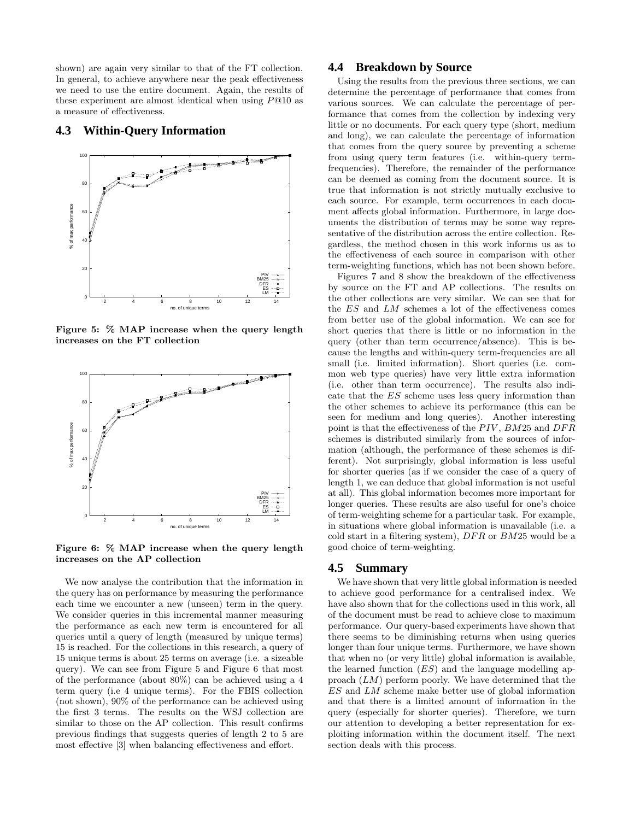shown) are again very similar to that of the FT collection. In general, to achieve anywhere near the peak effectiveness we need to use the entire document. Again, the results of these experiment are almost identical when using  $P@10$  as a measure of effectiveness.

#### **4.3 Within-Query Information**



Figure 5: % MAP increase when the query length increases on the FT collection



Figure 6: % MAP increase when the query length increases on the AP collection

We now analyse the contribution that the information in the query has on performance by measuring the performance each time we encounter a new (unseen) term in the query. We consider queries in this incremental manner measuring the performance as each new term is encountered for all queries until a query of length (measured by unique terms) 15 is reached. For the collections in this research, a query of 15 unique terms is about 25 terms on average (i.e. a sizeable query). We can see from Figure 5 and Figure 6 that most of the performance (about 80%) can be achieved using a 4 term query (i.e 4 unique terms). For the FBIS collection (not shown), 90% of the performance can be achieved using the first 3 terms. The results on the WSJ collection are similar to those on the AP collection. This result confirms previous findings that suggests queries of length 2 to 5 are most effective [3] when balancing effectiveness and effort.

## **4.4 Breakdown by Source**

Using the results from the previous three sections, we can determine the percentage of performance that comes from various sources. We can calculate the percentage of performance that comes from the collection by indexing very little or no documents. For each query type (short, medium and long), we can calculate the percentage of information that comes from the query source by preventing a scheme from using query term features (i.e. within-query termfrequencies). Therefore, the remainder of the performance can be deemed as coming from the document source. It is true that information is not strictly mutually exclusive to each source. For example, term occurrences in each document affects global information. Furthermore, in large documents the distribution of terms may be some way representative of the distribution across the entire collection. Regardless, the method chosen in this work informs us as to the effectiveness of each source in comparison with other term-weighting functions, which has not been shown before.

Figures 7 and 8 show the breakdown of the effectiveness by source on the FT and AP collections. The results on the other collections are very similar. We can see that for the ES and LM schemes a lot of the effectiveness comes from better use of the global information. We can see for short queries that there is little or no information in the query (other than term occurrence/absence). This is because the lengths and within-query term-frequencies are all small (i.e. limited information). Short queries (i.e. common web type queries) have very little extra information (i.e. other than term occurrence). The results also indicate that the ES scheme uses less query information than the other schemes to achieve its performance (this can be seen for medium and long queries). Another interesting point is that the effectiveness of the  $PIV$ ,  $BM25$  and  $DFR$ schemes is distributed similarly from the sources of information (although, the performance of these schemes is different). Not surprisingly, global information is less useful for shorter queries (as if we consider the case of a query of length 1, we can deduce that global information is not useful at all). This global information becomes more important for longer queries. These results are also useful for one's choice of term-weighting scheme for a particular task. For example, in situations where global information is unavailable (i.e. a cold start in a filtering system),  $DFR$  or  $BM25$  would be a good choice of term-weighting.

## **4.5 Summary**

We have shown that very little global information is needed to achieve good performance for a centralised index. We have also shown that for the collections used in this work, all of the document must be read to achieve close to maximum performance. Our query-based experiments have shown that there seems to be diminishing returns when using queries longer than four unique terms. Furthermore, we have shown that when no (or very little) global information is available, the learned function  $(ES)$  and the language modelling approach (LM) perform poorly. We have determined that the ES and LM scheme make better use of global information and that there is a limited amount of information in the query (especially for shorter queries). Therefore, we turn our attention to developing a better representation for exploiting information within the document itself. The next section deals with this process.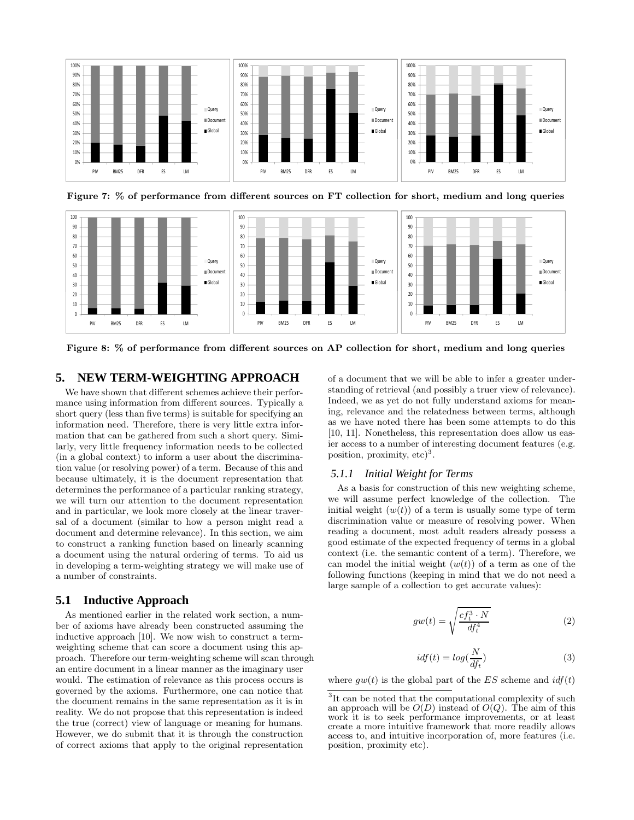

Figure 7: % of performance from different sources on FT collection for short, medium and long queries



Figure 8: % of performance from different sources on AP collection for short, medium and long queries

## **5. NEW TERM-WEIGHTING APPROACH**

We have shown that different schemes achieve their performance using information from different sources. Typically a short query (less than five terms) is suitable for specifying an information need. Therefore, there is very little extra information that can be gathered from such a short query. Similarly, very little frequency information needs to be collected (in a global context) to inform a user about the discrimination value (or resolving power) of a term. Because of this and because ultimately, it is the document representation that determines the performance of a particular ranking strategy, we will turn our attention to the document representation and in particular, we look more closely at the linear traversal of a document (similar to how a person might read a document and determine relevance). In this section, we aim to construct a ranking function based on linearly scanning a document using the natural ordering of terms. To aid us in developing a term-weighting strategy we will make use of a number of constraints.

#### **5.1 Inductive Approach**

As mentioned earlier in the related work section, a number of axioms have already been constructed assuming the inductive approach [10]. We now wish to construct a termweighting scheme that can score a document using this approach. Therefore our term-weighting scheme will scan through an entire document in a linear manner as the imaginary user would. The estimation of relevance as this process occurs is governed by the axioms. Furthermore, one can notice that the document remains in the same representation as it is in reality. We do not propose that this representation is indeed the true (correct) view of language or meaning for humans. However, we do submit that it is through the construction of correct axioms that apply to the original representation

of a document that we will be able to infer a greater understanding of retrieval (and possibly a truer view of relevance). Indeed, we as yet do not fully understand axioms for meaning, relevance and the relatedness between terms, although as we have noted there has been some attempts to do this [10, 11]. Nonetheless, this representation does allow us easier access to a number of interesting document features (e.g. position, proximity,  $etc)^3$ .

#### *5.1.1 Initial Weight for Terms*

As a basis for construction of this new weighting scheme, we will assume perfect knowledge of the collection. The initial weight  $(w(t))$  of a term is usually some type of term discrimination value or measure of resolving power. When reading a document, most adult readers already possess a good estimate of the expected frequency of terms in a global context (i.e. the semantic content of a term). Therefore, we can model the initial weight  $(w(t))$  of a term as one of the following functions (keeping in mind that we do not need a large sample of a collection to get accurate values):

$$
gw(t) = \sqrt{\frac{cf_t^3 \cdot N}{df_t^4}}\tag{2}
$$

$$
idf(t) = log(\frac{N}{df_t})
$$
\n(3)

where  $gw(t)$  is the global part of the ES scheme and  $\mathrm{id}f(t)$ 

<sup>&</sup>lt;sup>3</sup>It can be noted that the computational complexity of such an approach will be  $O(D)$  instead of  $O(Q)$ . The aim of this work it is to seek performance improvements, or at least create a more intuitive framework that more readily allows access to, and intuitive incorporation of, more features (i.e. position, proximity etc).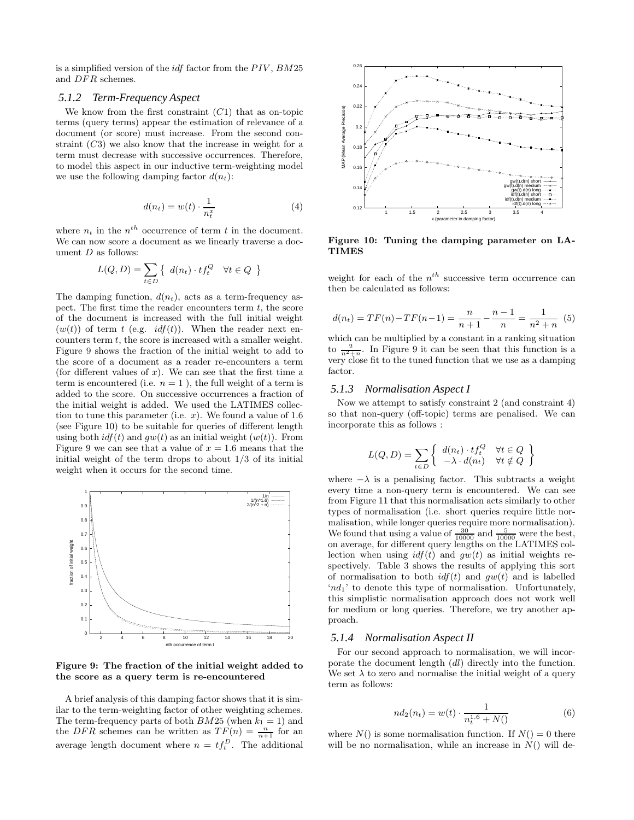is a simplified version of the  $\mathcal{i}df$  factor from the  $PIV$ ,  $BM25$ and  $DFR$  schemes.

#### *5.1.2 Term-Frequency Aspect*

We know from the first constraint  $(C1)$  that as on-topic terms (query terms) appear the estimation of relevance of a document (or score) must increase. From the second constraint  $(C3)$  we also know that the increase in weight for a term must decrease with successive occurrences. Therefore, to model this aspect in our inductive term-weighting model we use the following damping factor  $d(n_t)$ :

$$
d(n_t) = w(t) \cdot \frac{1}{n_t^x} \tag{4}
$$

where  $n_t$  in the  $n^{th}$  occurrence of term t in the document. We can now score a document as we linearly traverse a document  $D$  as follows:

$$
L(Q, D) = \sum_{t \in D} \{ d(n_t) \cdot tf_t^Q \quad \forall t \in Q \}
$$

The damping function,  $d(n_t)$ , acts as a term-frequency aspect. The first time the reader encounters term  $t$ , the score of the document is increased with the full initial weight  $(w(t))$  of term t (e.g. *idf(t)*). When the reader next encounters term  $t$ , the score is increased with a smaller weight. Figure 9 shows the fraction of the initial weight to add to the score of a document as a reader re-encounters a term (for different values of  $x$ ). We can see that the first time a term is encountered (i.e.  $n = 1$ ), the full weight of a term is added to the score. On successive occurrences a fraction of the initial weight is added. We used the LATIMES collection to tune this parameter (i.e.  $x$ ). We found a value of 1.6 (see Figure 10) to be suitable for queries of different length using both  $\textit{idf}(t)$  and  $\textit{qw}(t)$  as an initial weight  $(w(t))$ . From Figure 9 we can see that a value of  $x = 1.6$  means that the initial weight of the term drops to about  $1/3$  of its initial weight when it occurs for the second time.



Figure 9: The fraction of the initial weight added to the score as a query term is re-encountered

A brief analysis of this damping factor shows that it is similar to the term-weighting factor of other weighting schemes. The term-frequency parts of both  $BM25$  (when  $k_1 = 1$ ) and the DFR schemes can be written as  $TF(n) = \frac{n}{n+1}$  for an average length document where  $n = tf_t^D$ . The additional



Figure 10: Tuning the damping parameter on LA-TIMES

weight for each of the  $n^{th}$  successive term occurrence can then be calculated as follows:

$$
d(n_t) = TF(n) - TF(n-1) = \frac{n}{n+1} - \frac{n-1}{n} = \frac{1}{n^2 + n}
$$
(5)

which can be multiplied by a constant in a ranking situation to  $\frac{2}{n^2+n}$ . In Figure 9 it can be seen that this function is a very close fit to the tuned function that we use as a damping factor.

#### *5.1.3 Normalisation Aspect I*

Now we attempt to satisfy constraint 2 (and constraint 4) so that non-query (off-topic) terms are penalised. We can incorporate this as follows :

$$
L(Q, D) = \sum_{t \in D} \left\{ \begin{array}{ll} d(n_t) \cdot tf_t^Q & \forall t \in Q \\ -\lambda \cdot d(n_t) & \forall t \notin Q \end{array} \right\}
$$

where  $-\lambda$  is a penalising factor. This subtracts a weight every time a non-query term is encountered. We can see from Figure 11 that this normalisation acts similarly to other types of normalisation (i.e. short queries require little normalisation, while longer queries require more normalisation). We found that using a value of  $\frac{30}{10000}$  and  $\frac{5}{10000}$  were the best, on average, for different query lengths on the LATIMES collection when using  $\text{id}f(t)$  and  $\text{qw}(t)$  as initial weights respectively. Table 3 shows the results of applying this sort of normalisation to both  $\mathrm{id} f(t)$  and  $\mathrm{g} w(t)$  and is labelled  $'nd_1'$  to denote this type of normalisation. Unfortunately, this simplistic normalisation approach does not work well for medium or long queries. Therefore, we try another approach.

#### *5.1.4 Normalisation Aspect II*

For our second approach to normalisation, we will incorporate the document length (dl) directly into the function. We set  $\lambda$  to zero and normalise the initial weight of a query term as follows:

$$
nd_2(n_t) = w(t) \cdot \frac{1}{n_t^{1.6} + N()}\tag{6}
$$

where  $N()$  is some normalisation function. If  $N() = 0$  there will be no normalisation, while an increase in  $N()$  will de-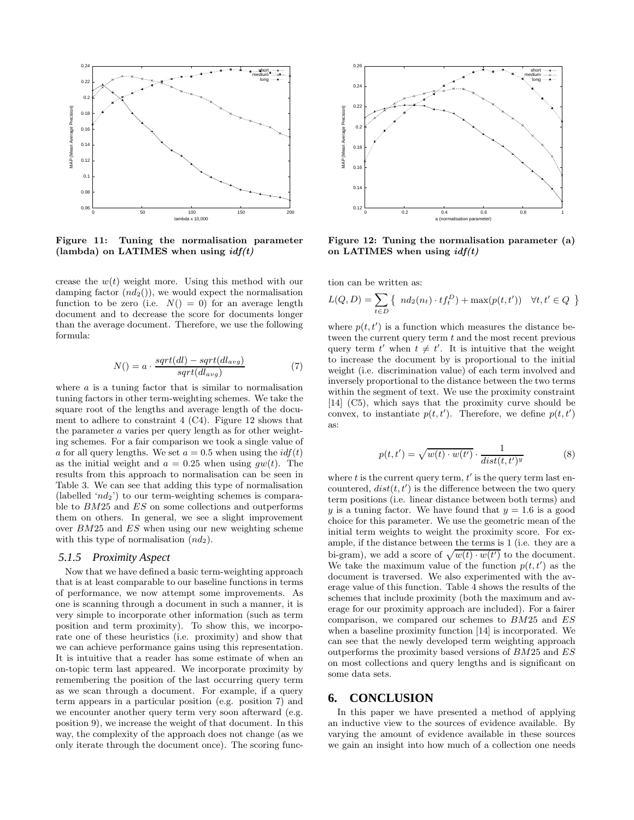

Figure 11: Tuning the normalisation parameter (lambda) on LATIMES when using  $\text{idf}(t)$ 

crease the  $w(t)$  weight more. Using this method with our damping factor  $(nd_2))$ , we would expect the normalisation function to be zero (i.e.  $N() = 0$ ) for an average length document and to decrease the score for documents longer than the average document. Therefore, we use the following formula:

$$
N() = a \cdot \frac{sqrt(dl) - sqrt(dl_{avg})}{sqrt(dl_{avg})}
$$
\n
$$
(7)
$$

where  $a$  is a tuning factor that is similar to normalisation tuning factors in other term-weighting schemes. We take the square root of the lengths and average length of the document to adhere to constraint 4 (C4). Figure 12 shows that the parameter a varies per query length as for other weighting schemes. For a fair comparison we took a single value of a for all query lengths. We set  $a = 0.5$  when using the  $\text{idf}(t)$ as the initial weight and  $a = 0.25$  when using  $qw(t)$ . The results from this approach to normalisation can be seen in Table 3. We can see that adding this type of normalisation (labelled ' $nd_2$ ') to our term-weighting schemes is comparable to BM25 and ES on some collections and outperforms them on others. In general, we see a slight improvement over BM25 and ES when using our new weighting scheme with this type of normalisation  $(nd_2)$ .

#### *5.1.5 Proximity Aspect*

Now that we have defined a basic term-weighting approach that is at least comparable to our baseline functions in terms of performance, we now attempt some improvements. As one is scanning through a document in such a manner, it is very simple to incorporate other information (such as term position and term proximity). To show this, we incorporate one of these heuristics (i.e. proximity) and show that we can achieve performance gains using this representation. It is intuitive that a reader has some estimate of when an on-topic term last appeared. We incorporate proximity by remembering the position of the last occurring query term as we scan through a document. For example, if a query term appears in a particular position (e.g. position 7) and we encounter another query term very soon afterward (e.g. position 9), we increase the weight of that document. In this way, the complexity of the approach does not change (as we only iterate through the document once). The scoring func-



Figure 12: Tuning the normalisation parameter (a) on LATIMES when using  $\text{if}(t)$ 

tion can be written as:

$$
L(Q, D) = \sum_{t \in D} \{ nd_2(n_t) \cdot tf_t^D) + \max(p(t, t')) \quad \forall t, t' \in Q \}
$$

where  $p(t, t')$  is a function which measures the distance between the current query term t and the most recent previous query term  $t'$  when  $t \neq t'$ . It is intuitive that the weight to increase the document by is proportional to the initial weight (i.e. discrimination value) of each term involved and inversely proportional to the distance between the two terms within the segment of text. We use the proximity constraint [14] (C5), which says that the proximity curve should be convex, to instantiate  $p(t, t')$ . Therefore, we define  $p(t, t')$ as:

$$
p(t, t') = \sqrt{w(t) \cdot w(t')} \cdot \frac{1}{dist(t, t')^{y}}
$$
(8)

where  $t$  is the current query term,  $t'$  is the query term last encountered,  $dist(t, t')$  is the difference between the two query term positions (i.e. linear distance between both terms) and y is a tuning factor. We have found that  $y = 1.6$  is a good choice for this parameter. We use the geometric mean of the initial term weights to weight the proximity score. For example, if the distance between the terms is 1 (i.e. they are a bi-gram), we add a score of  $\sqrt{w(t) \cdot w(t')}$  to the document. We take the maximum value of the function  $p(t, t')$  as the document is traversed. We also experimented with the average value of this function. Table 4 shows the results of the schemes that include proximity (both the maximum and average for our proximity approach are included). For a fairer comparison, we compared our schemes to BM25 and ES when a baseline proximity function [14] is incorporated. We can see that the newly developed term weighting approach outperforms the proximity based versions of BM25 and ES on most collections and query lengths and is significant on some data sets.

## **6. CONCLUSION**

In this paper we have presented a method of applying an inductive view to the sources of evidence available. By varying the amount of evidence available in these sources we gain an insight into how much of a collection one needs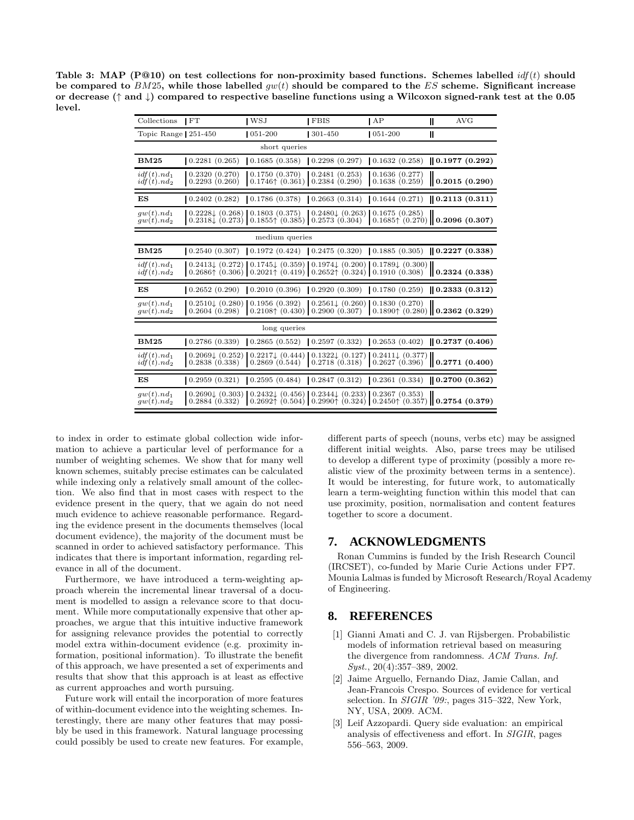Table 3: MAP (P@10) on test collections for non-proximity based functions. Schemes labelled  $\text{id}(t)$  should be compared to  $BM25$ , while those labelled  $gw(t)$  should be compared to the ES scheme. Significant increase or decrease (↑ and ↓) compared to respective baseline functions using a Wilcoxon signed-rank test at the 0.05 level.

| Collections                            | I FT                                        | l WSJ         | <b>FBIS</b>                                                                                                              | AP                                                                                                                                                                                                                                 | Ш | <b>AVG</b>     |  |  |
|----------------------------------------|---------------------------------------------|---------------|--------------------------------------------------------------------------------------------------------------------------|------------------------------------------------------------------------------------------------------------------------------------------------------------------------------------------------------------------------------------|---|----------------|--|--|
| Topic Range $ 251-450$                 |                                             | 051-200       | 301-450                                                                                                                  | $ 051-200$                                                                                                                                                                                                                         | Π |                |  |  |
| short queries                          |                                             |               |                                                                                                                          |                                                                                                                                                                                                                                    |   |                |  |  |
| BM25                                   | 0.2281(0.265)                               |               |                                                                                                                          | $\vert 0.1685 \; (0.358) \vert 0.2298 \; (0.297) \vert 0.1632 \; (0.258) \vert 0.1977 \; (0.292)$                                                                                                                                  |   |                |  |  |
| $idf(t)$ . $nd_1$<br>$idf(t)$ . $nd_2$ | 0.2320(0.270)<br>0.2293(0.260)              | 0.1750(0.370) | 0.2481(0.253)<br>$0.1746\uparrow(0.361)$ 0.2384 (0.290)                                                                  | 0.1636(0.277)<br>0.1638(0.259)                                                                                                                                                                                                     |   | 0.2015(0.290)  |  |  |
| ES                                     | 0.2402(0.282)                               | 0.1786(0.378) | 0.2663(0.314)                                                                                                            | 0.1644(0.271)                                                                                                                                                                                                                      |   | 0.2113 (0.311) |  |  |
| $qw(t).nd_1$<br>$qw(t).nd_2$           |                                             |               | $0.2228\downarrow$ (0.268) 0.1803 (0.375) 0.2480 $\downarrow$ (0.263) 0.1675 (0.285)                                     | $(0.2318\downarrow)(0.273)$ $(0.1855\uparrow)(0.385)$ $(0.2573)(0.304)$ $(0.1685\uparrow)(0.270)$ $(0.2096)(0.307)$                                                                                                                |   |                |  |  |
| medium queries                         |                                             |               |                                                                                                                          |                                                                                                                                                                                                                                    |   |                |  |  |
| BM25                                   |                                             |               |                                                                                                                          | $\vert 0.2540 \; (0.307) \vert 0.1972 \; (0.424) \vert 0.2475 \; (0.320) \vert 0.1885 \; (0.305) \vert 0.2227 \; (0.338)$                                                                                                          |   |                |  |  |
| $idf(t)$ . $nd_1$<br>$idf(t)$ . $nd_2$ |                                             |               |                                                                                                                          | $0.2413\downarrow$ (0.272) $0.1745\downarrow$ (0.359) $0.1974\downarrow$ (0.200) $0.1789\downarrow$ (0.300)<br>$\vert 0.2686\uparrow$ (0.306) $\vert 0.2021\uparrow$ (0.419) $\vert 0.2652\uparrow$ (0.324) $\vert 0.1910$ (0.308) |   | 0.2324 (0.338) |  |  |
| ES                                     |                                             |               |                                                                                                                          | $\vert 0.2652 \ (0.290) \ \vert 0.2010 \ (0.396) \ \vert 0.2920 \ (0.309) \ \vert 0.1780 \ (0.259) \ \vert 0.2333 \ (0.312)$                                                                                                       |   |                |  |  |
| $qw(t).nd_1$<br>$qw(t).nd_2$           | 0.2604(0.298)                               |               | $0.2510\downarrow$ (0.280) 0.1956 (0.392) 0.2561 (0.260) 0.1830 (0.270)                                                  | $0.2108\uparrow$ (0.430) $\mid 0.2900$ (0.307) $\mid 0.1890\uparrow$ (0.280) $\mid 0.2362$ (0.329)                                                                                                                                 |   |                |  |  |
|                                        |                                             | long queries  |                                                                                                                          |                                                                                                                                                                                                                                    |   |                |  |  |
| BM25                                   | 0.2786(0.339)                               | 0.2865(0.552) |                                                                                                                          | $\vert 0.2597(0.332) \vert 0.2653(0.402) \vert$                                                                                                                                                                                    |   | 0.2737(0.406)  |  |  |
| $idf(t)$ . $nd_1$<br>$idf(t)$ . $nd_2$ | $0.2069\downarrow$ (0.252)<br>0.2838(0.338) |               | $0.2869(0.544)$ $0.2718(0.318)$ $0.2627(0.396)$                                                                          | $0.2217\downarrow$ (0.444) $0.1322\downarrow$ (0.127) $0.2411\downarrow$ (0.377)                                                                                                                                                   |   | 0.2771(0.400)  |  |  |
| ES                                     |                                             |               |                                                                                                                          | $(0.2959(0.321)$ $(0.2595(0.484)$ $(0.2847(0.312)$ $(0.2361(0.334)$ $(0.2700(0.362))$                                                                                                                                              |   |                |  |  |
| $qw(t).nd_1$<br>$qw(t).nd_2$           |                                             |               | $0.2690\downarrow$ $(0.303)$ $\mid 0.2432\downarrow$ $(0.456)$ $\mid 0.2344\downarrow$ $(0.233)$ $\mid 0.2367$ $(0.353)$ | $0.2884$ $(0.332)$ $\mid$ $0.2692 \uparrow$ $(0.504)$ $\mid$ $0.2990 \uparrow$ $(0.324)$ $\mid$ $0.2450 \uparrow$ $(0.357)$ $\mid$ $0.2754$ $(0.379)$                                                                              |   |                |  |  |

to index in order to estimate global collection wide information to achieve a particular level of performance for a number of weighting schemes. We show that for many well known schemes, suitably precise estimates can be calculated while indexing only a relatively small amount of the collection. We also find that in most cases with respect to the evidence present in the query, that we again do not need much evidence to achieve reasonable performance. Regarding the evidence present in the documents themselves (local document evidence), the majority of the document must be scanned in order to achieved satisfactory performance. This indicates that there is important information, regarding relevance in all of the document.

Furthermore, we have introduced a term-weighting approach wherein the incremental linear traversal of a document is modelled to assign a relevance score to that document. While more computationally expensive that other approaches, we argue that this intuitive inductive framework for assigning relevance provides the potential to correctly model extra within-document evidence (e.g. proximity information, positional information). To illustrate the benefit of this approach, we have presented a set of experiments and results that show that this approach is at least as effective as current approaches and worth pursuing.

Future work will entail the incorporation of more features of within-document evidence into the weighting schemes. Interestingly, there are many other features that may possibly be used in this framework. Natural language processing could possibly be used to create new features. For example, different parts of speech (nouns, verbs etc) may be assigned different initial weights. Also, parse trees may be utilised to develop a different type of proximity (possibly a more realistic view of the proximity between terms in a sentence). It would be interesting, for future work, to automatically learn a term-weighting function within this model that can use proximity, position, normalisation and content features together to score a document.

## **7. ACKNOWLEDGMENTS**

Ronan Cummins is funded by the Irish Research Council (IRCSET), co-funded by Marie Curie Actions under FP7. Mounia Lalmas is funded by Microsoft Research/Royal Academy of Engineering.

#### **8. REFERENCES**

- [1] Gianni Amati and C. J. van Rijsbergen. Probabilistic models of information retrieval based on measuring the divergence from randomness. ACM Trans. Inf. Syst., 20(4):357-389, 2002.
- [2] Jaime Arguello, Fernando Diaz, Jamie Callan, and Jean-Francois Crespo. Sources of evidence for vertical selection. In SIGIR '09:, pages 315–322, New York, NY, USA, 2009. ACM.
- [3] Leif Azzopardi. Query side evaluation: an empirical analysis of effectiveness and effort. In SIGIR, pages 556–563, 2009.